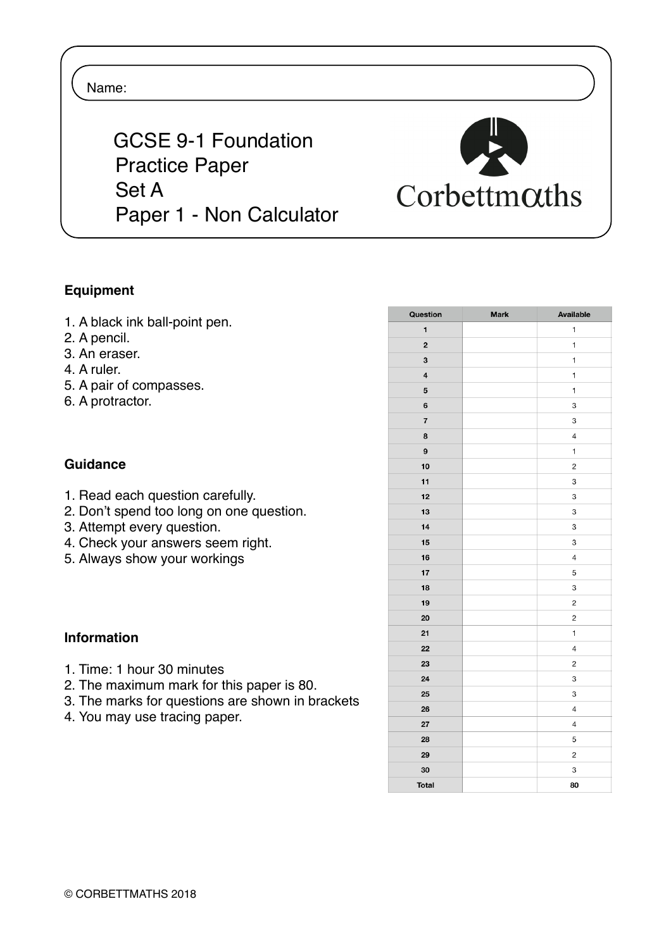### Name:

 GCSE 9-1 Foundation Practice Paper Set A Paper 1 - Non Calculator



### **Equipment**

- 1. A black ink ball-point pen.
- 2. A pencil.
- 3. An eraser.
- 4. A ruler.
- 5. A pair of compasses.
- 6. A protractor.

### **Guidance**

- 1. Read each question carefully.
- 2. Don't spend too long on one question.
- 3. Attempt every question.
- 4. Check your answers seem right.
- 5. Always show your workings

### **Information**

- 1. Time: 1 hour 30 minutes
- 2. The maximum mark for this paper is 80.
- 3. The marks for questions are shown in brackets
- 4. You may use tracing paper.

| Question                | <b>Mark</b> | Available                |
|-------------------------|-------------|--------------------------|
| 1                       |             | 1                        |
| $\overline{\mathbf{c}}$ |             | 1                        |
| 3                       |             | $\mathbf{1}$             |
| $\overline{\mathbf{4}}$ |             | 1                        |
| 5                       |             | 1                        |
| 6                       |             | 3                        |
| $\overline{\mathbf{r}}$ |             | 3                        |
| 8                       |             | $\overline{4}$           |
| 9                       |             | $\mathbf{1}$             |
| 10                      |             | $\overline{c}$           |
| 11                      |             | 3                        |
| 12                      |             | 3                        |
| 13                      |             | 3                        |
| 14                      |             | 3                        |
| 15                      |             | 3                        |
| 16                      |             | 4                        |
| 17                      |             | 5                        |
| 18                      |             | 3                        |
| 19                      |             | $\overline{c}$           |
| 20                      |             | $\mathbf 2$              |
| 21                      |             | $\mathbf{1}$             |
| 22                      |             | 4                        |
| 23                      |             | $\overline{\mathbf{c}}$  |
| 24                      |             | 3                        |
| 25                      |             | 3                        |
| 26                      |             | $\sqrt{4}$               |
| 27                      |             | $\overline{\mathcal{L}}$ |
| 28                      |             | 5                        |
| 29                      |             | $\overline{c}$           |
| 30                      |             | 3                        |
| <b>Total</b>            |             | 80                       |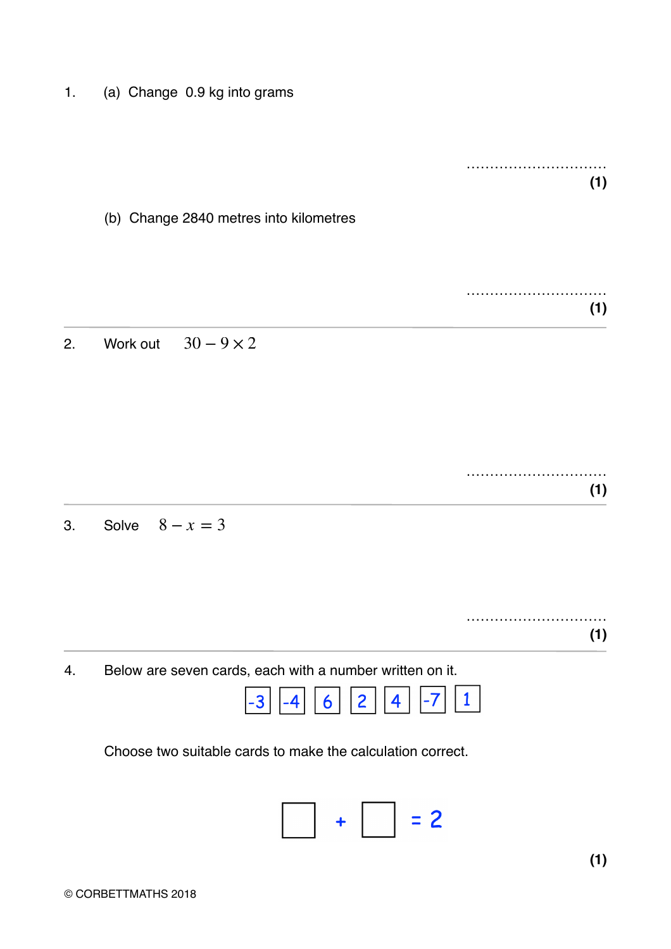1. (a) Change 0.9 kg into grams

………………………… **(1)**

(b) Change 2840 metres into kilometres

………………………… **(1)**

2. Work out  $30-9 \times 2$ 

3. Solve  $8 - x = 3$ 

4. Below are seven cards, each with a number written on it.



Choose two suitable cards to make the calculation correct.

**(1)**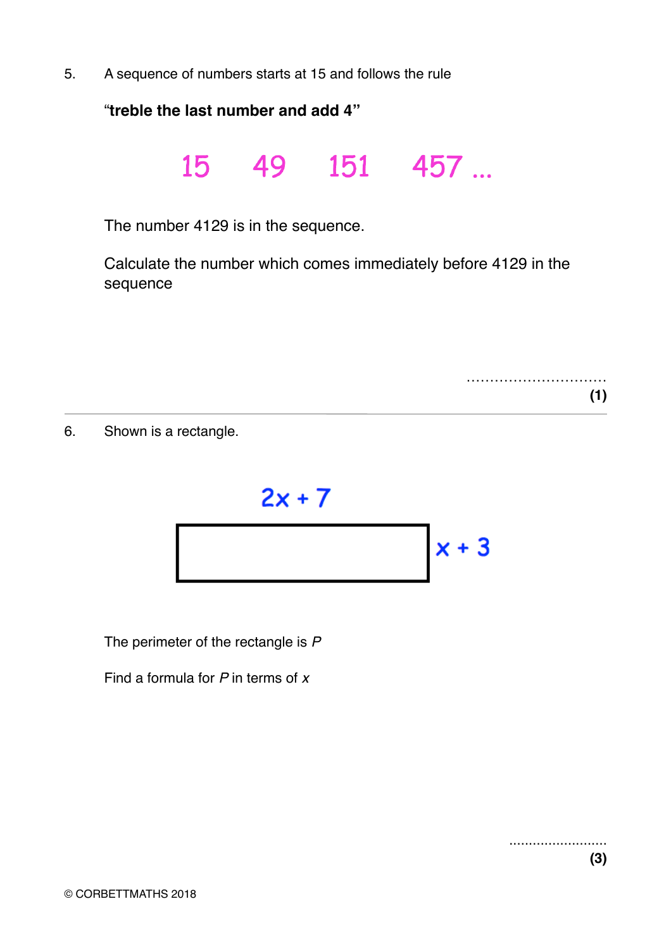5. A sequence of numbers starts at 15 and follows the rule

"**treble the last number and add 4"**

15 49 151 457 ...

The number 4129 is in the sequence.

Calculate the number which comes immediately before 4129 in the sequence

> ……………………………………… **(1)**

6. Shown is a rectangle.



The perimeter of the rectangle is *P*

Find a formula for *P* in terms of *x*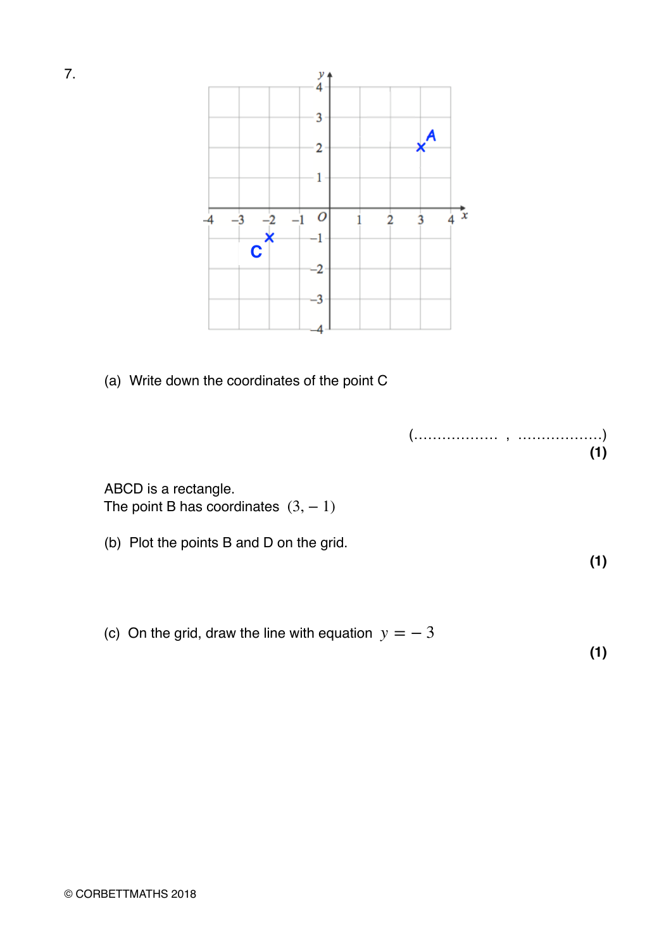

(a) Write down the coordinates of the point C

(……………… , ………………) **(1)**

ABCD is a rectangle. The point B has coordinates  $(3, -1)$ 

(b) Plot the points B and D on the grid.

(c) On the grid, draw the line with equation  $y = -3$ 

**(1)**

**(1)**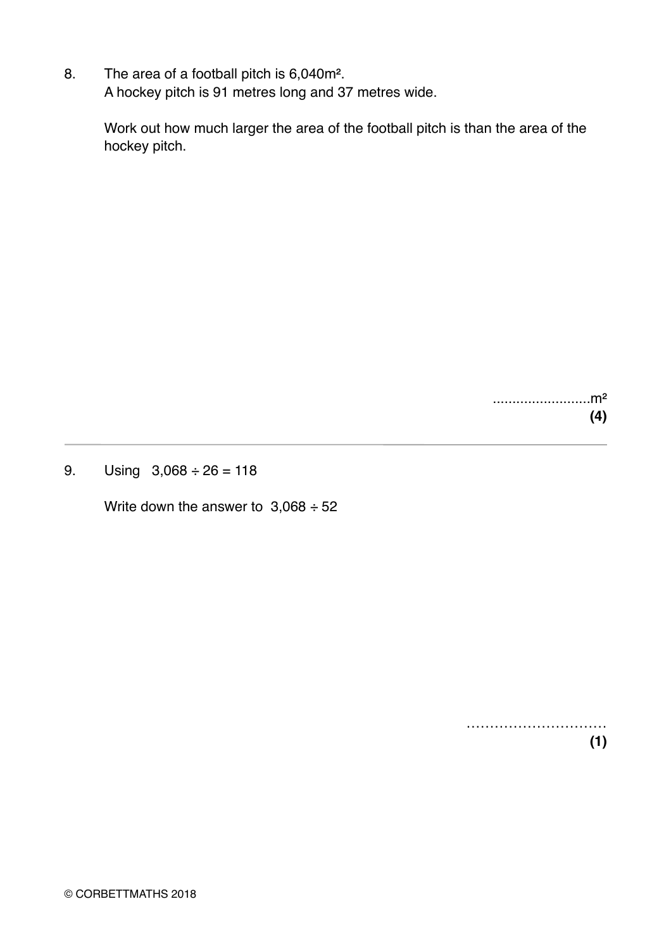8. The area of a football pitch is 6,040m². A hockey pitch is 91 metres long and 37 metres wide.

> Work out how much larger the area of the football pitch is than the area of the hockey pitch.

> > .........................m² **(4)**

9. Using  $3,068 \div 26 = 118$ 

Write down the answer to  $3,068 \div 52$ 

………………………… **(1)**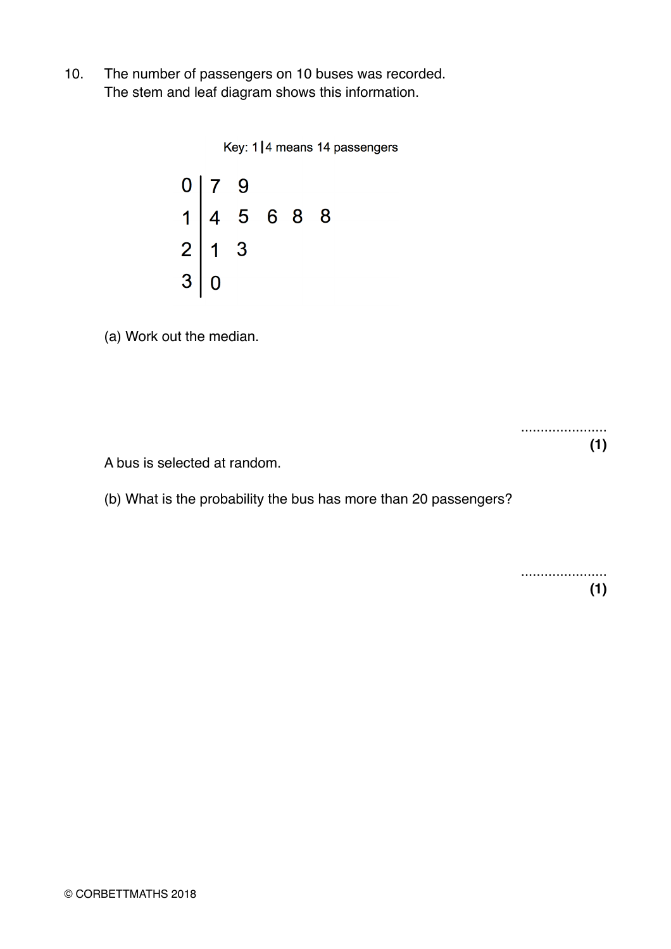10. The number of passengers on 10 buses was recorded. The stem and leaf diagram shows this information.

Key: 1|4 means 14 passengers



(a) Work out the median.

...................... **(1)**

A bus is selected at random.

(b) What is the probability the bus has more than 20 passengers?

...................... **(1)**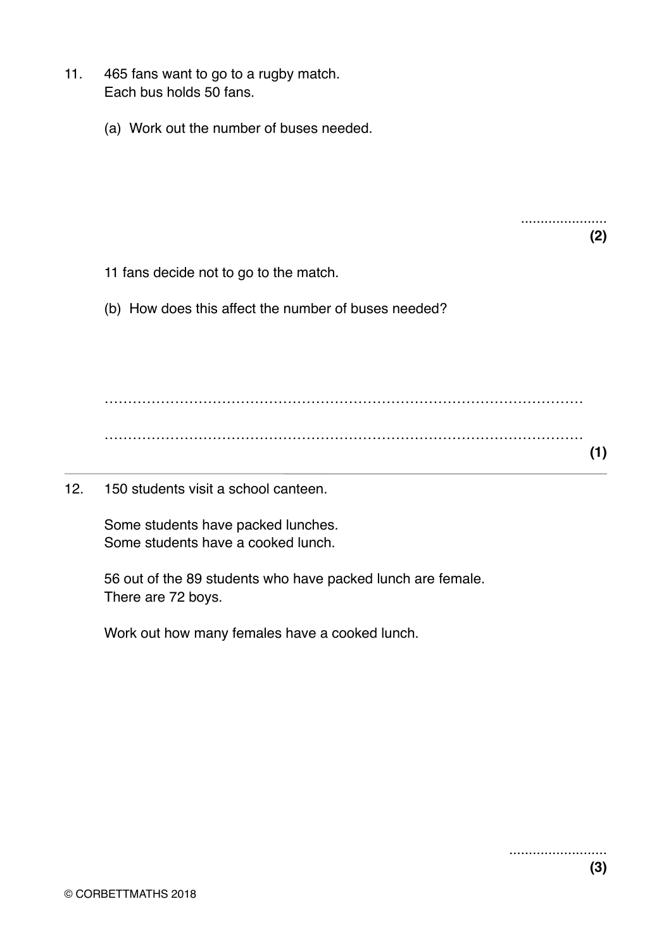- 11. 465 fans want to go to a rugby match. Each bus holds 50 fans.
	- (a) Work out the number of buses needed.

...................... **(2)**

- 11 fans decide not to go to the match.
- (b) How does this affect the number of buses needed?

………………………………………………………………………………………… ………………………………………………………………………………………… **(1)**

12. 150 students visit a school canteen.

Some students have packed lunches. Some students have a cooked lunch.

56 out of the 89 students who have packed lunch are female. There are 72 boys.

Work out how many females have a cooked lunch.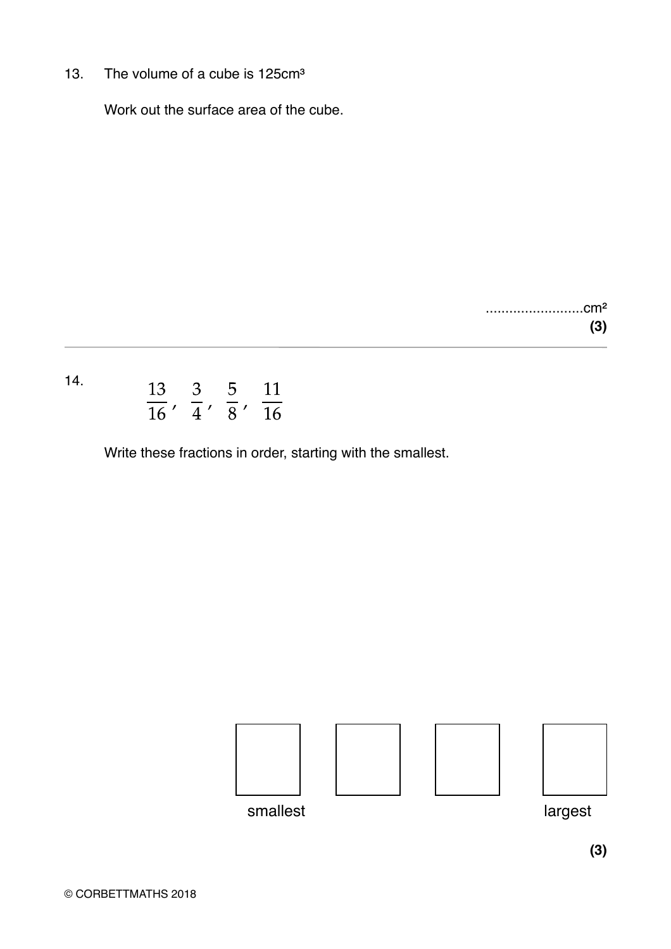13. The volume of a cube is 125cm<sup>3</sup>

Work out the surface area of the cube.

.........................cm² **(3)**

## 14.  $\frac{13}{16}$ ,  $\frac{3}{4}$ ,  $\frac{5}{8}$ ,  $\frac{11}{16}$

Write these fractions in order, starting with the smallest.



**(3)**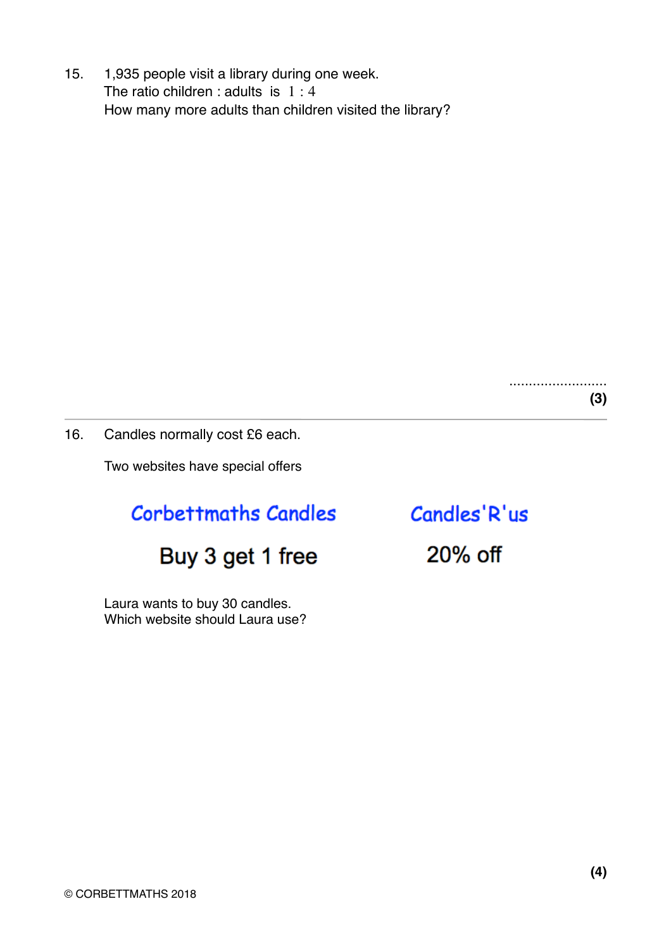15. 1,935 people visit a library during one week. The ratio children : adults is  $1:4$ How many more adults than children visited the library?

> ......................... **(3)**

16. Candles normally cost £6 each.

Two websites have special offers

### **Corbettmaths Candles**

### Buy 3 get 1 free

Laura wants to buy 30 candles. Which website should Laura use? Candles'R'us

20% off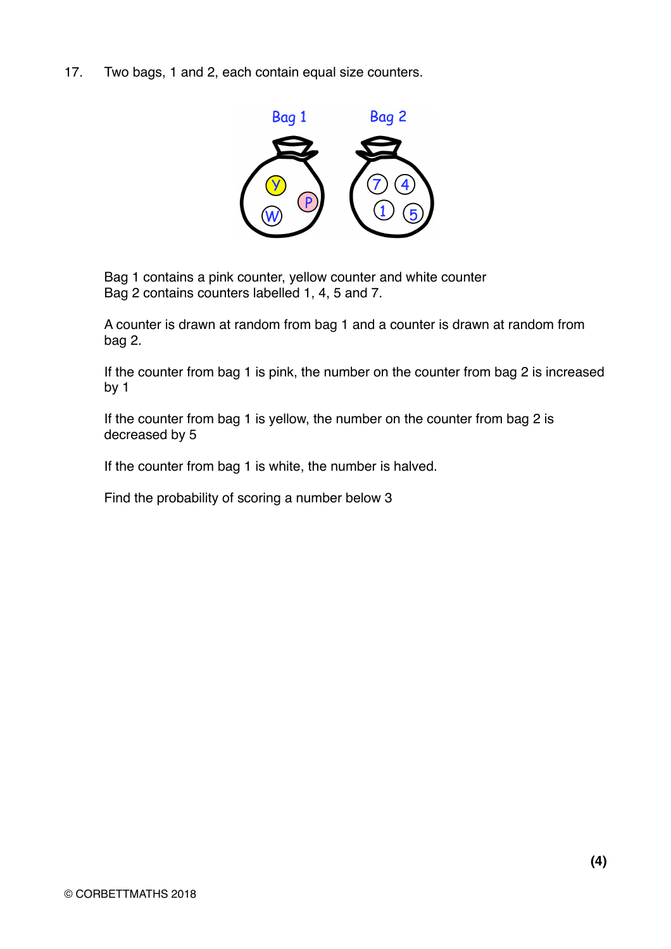17. Two bags, 1 and 2, each contain equal size counters.



Bag 1 contains a pink counter, yellow counter and white counter Bag 2 contains counters labelled 1, 4, 5 and 7.

A counter is drawn at random from bag 1 and a counter is drawn at random from bag 2.

If the counter from bag 1 is pink, the number on the counter from bag 2 is increased by 1

If the counter from bag 1 is yellow, the number on the counter from bag 2 is decreased by 5

If the counter from bag 1 is white, the number is halved.

Find the probability of scoring a number below 3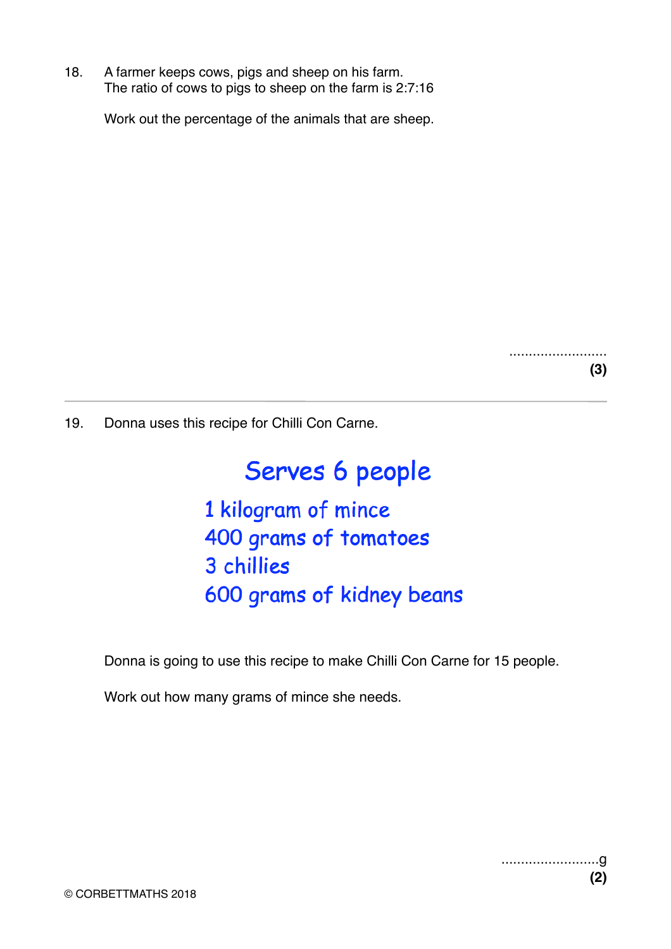18. A farmer keeps cows, pigs and sheep on his farm. The ratio of cows to pigs to sheep on the farm is 2:7:16

Work out the percentage of the animals that are sheep.

......................... **(3)**

19. Donna uses this recipe for Chilli Con Carne.

# Serves 6 people

1 kilogram of mince 400 grams of tomatoes 3 chillies 600 grams of kidney beans

Donna is going to use this recipe to make Chilli Con Carne for 15 people.

Work out how many grams of mince she needs.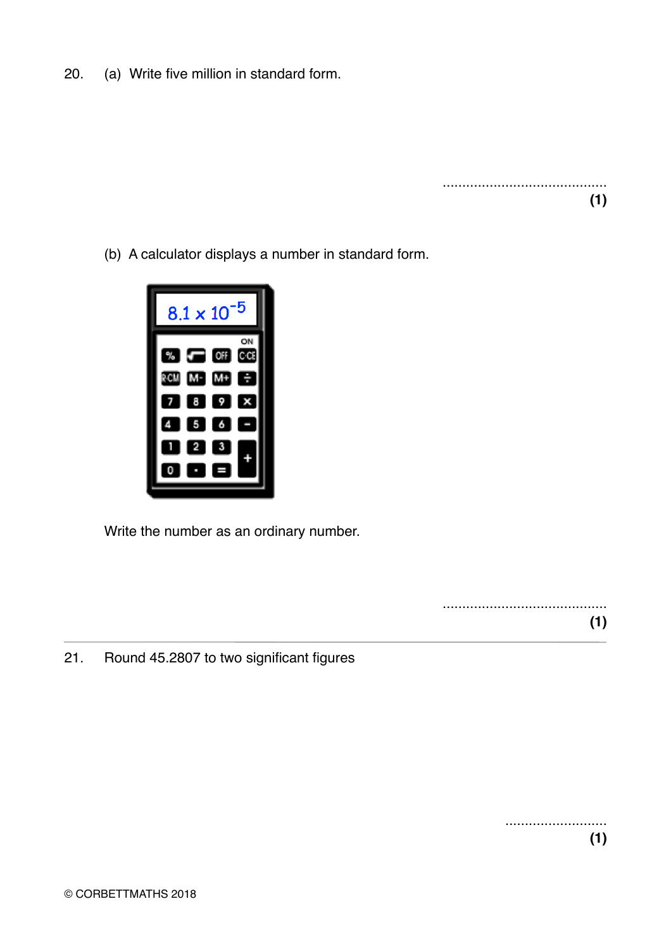20. (a) Write five million in standard form.

.......................................... **(1)**

(b) A calculator displays a number in standard form.



Write the number as an ordinary number.

.......................................... **(1)**

21. Round 45.2807 to two significant figures

.......................... **(1)**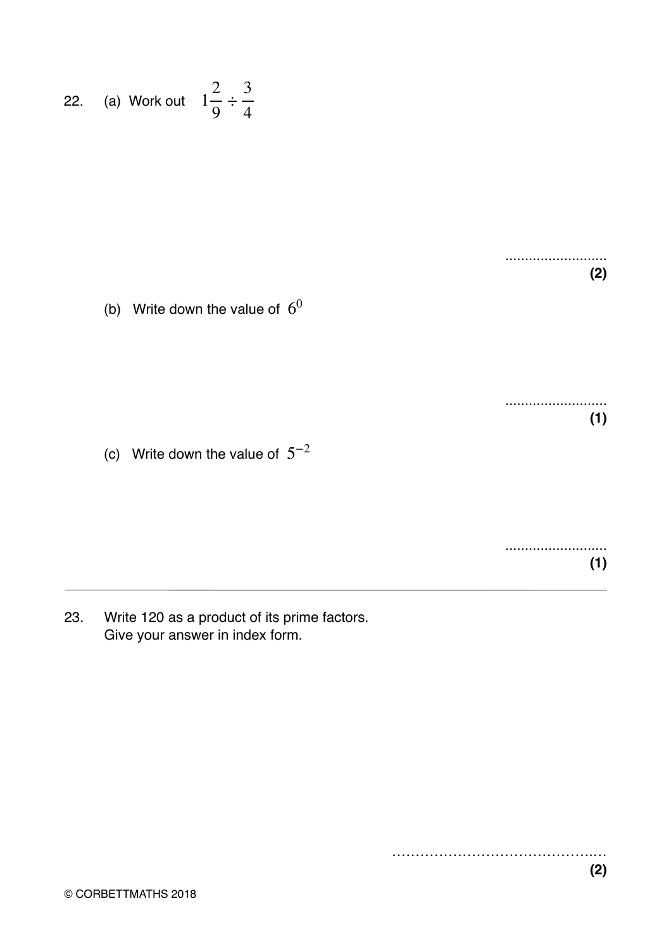22. (a) Work out 
$$
1\frac{2}{9} \div \frac{3}{4}
$$

.......................... **(2)**

(b) Write down the value of  $6^0$ 

.......................... **(1)**

(c) Write down the value of  $5^{-2}$ 

.......................... **(1)**

23. Write 120 as a product of its prime factors. Give your answer in index form.

…………………………………….…

**(2)**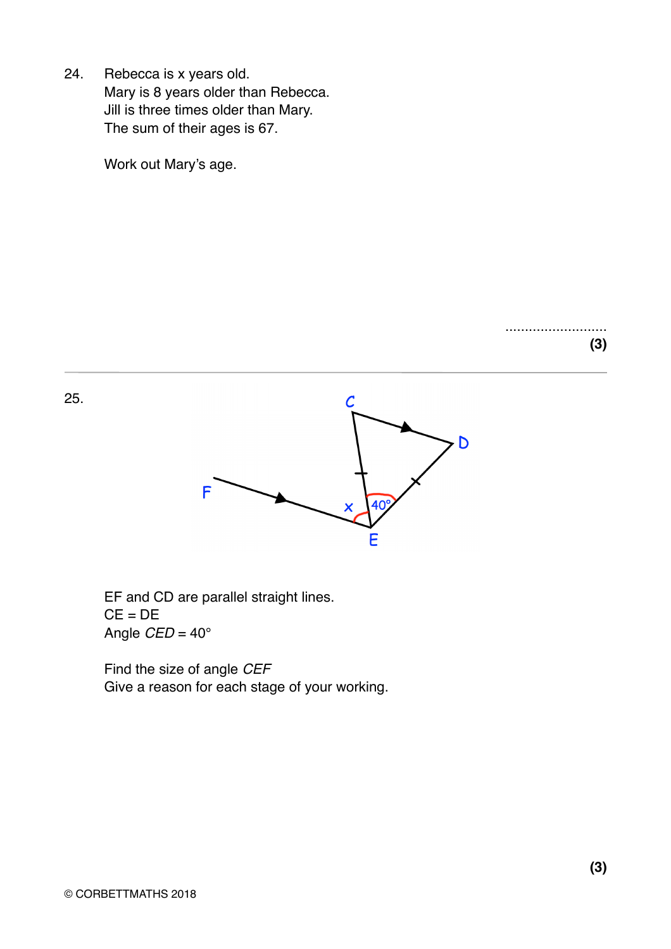24. Rebecca is x years old. Mary is 8 years older than Rebecca. Jill is three times older than Mary. The sum of their ages is 67.

Work out Mary's age.

 $\mathcal C$ D

Ē

25.



F

Find the size of angle *CEF* Give a reason for each stage of your working. ..........................

**(3)**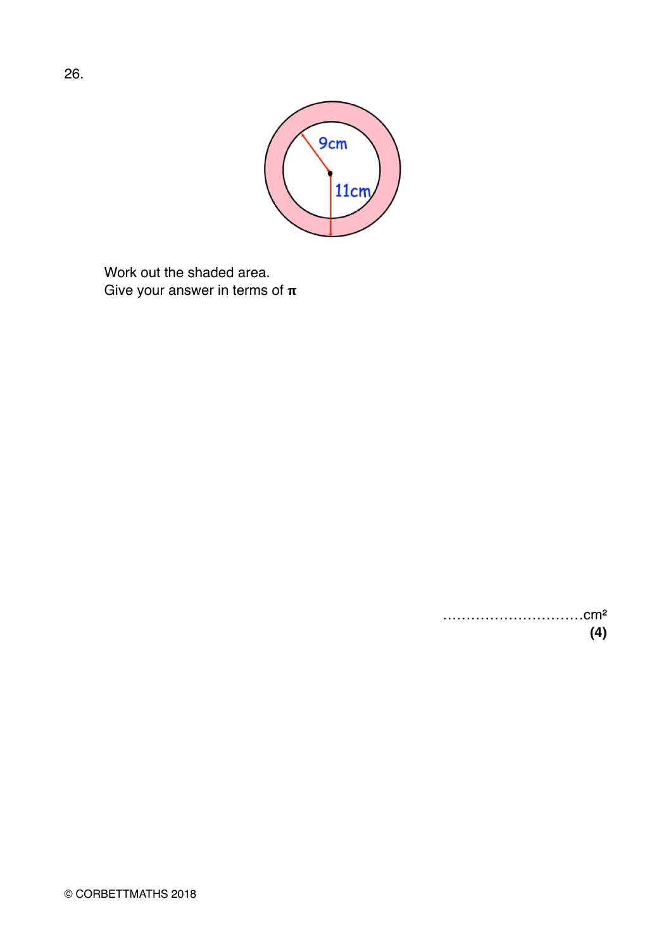

Work out the shaded area. Give your answer in terms of  $\pi$ 

> …………………………cm² **(4)**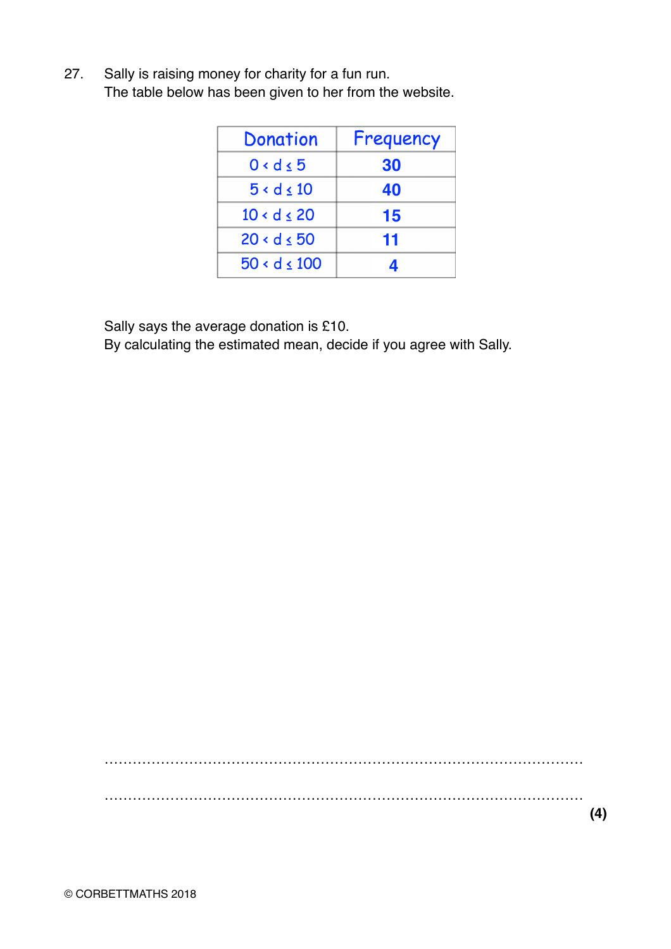27. Sally is raising money for charity for a fun run. The table below has been given to her from the website.

| Donation         | Frequency |
|------------------|-----------|
| $0 < d \leq 5$   | 30        |
| 5 < d < 10       | 40        |
| $10 < d \leq 20$ | 15        |
| $20 < d \leq 50$ | 11        |
| $50 < d \le 100$ |           |

Sally says the average donation is £10.

By calculating the estimated mean, decide if you agree with Sally.

…………………………………………………………………………………………

…………………………………………………………………………………………

**(4)**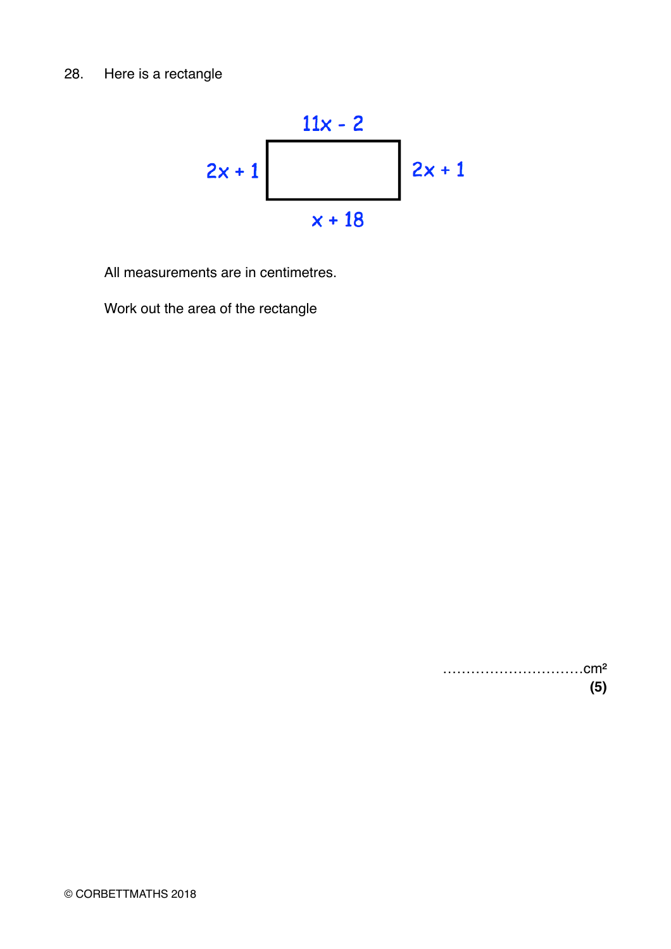

All measurements are in centimetres.

Work out the area of the rectangle

…………………………cm² **(5)**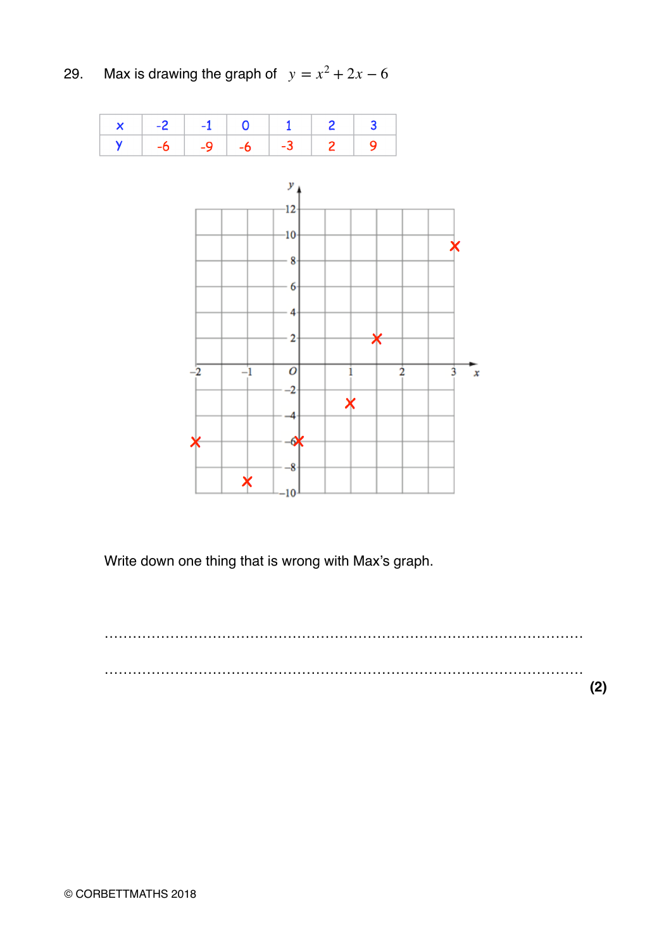29. Max is drawing the graph of  $y = x^2 + 2x - 6$ 

|  |  | $x$ 2 -1 0 1 2 3                         |  |
|--|--|------------------------------------------|--|
|  |  | $  \gamma   -6   -9   -6   -3   2   9  $ |  |



Write down one thing that is wrong with Max's graph.

………………………………………………………………………………………… ………………………………………………………………………………………… **(2)**